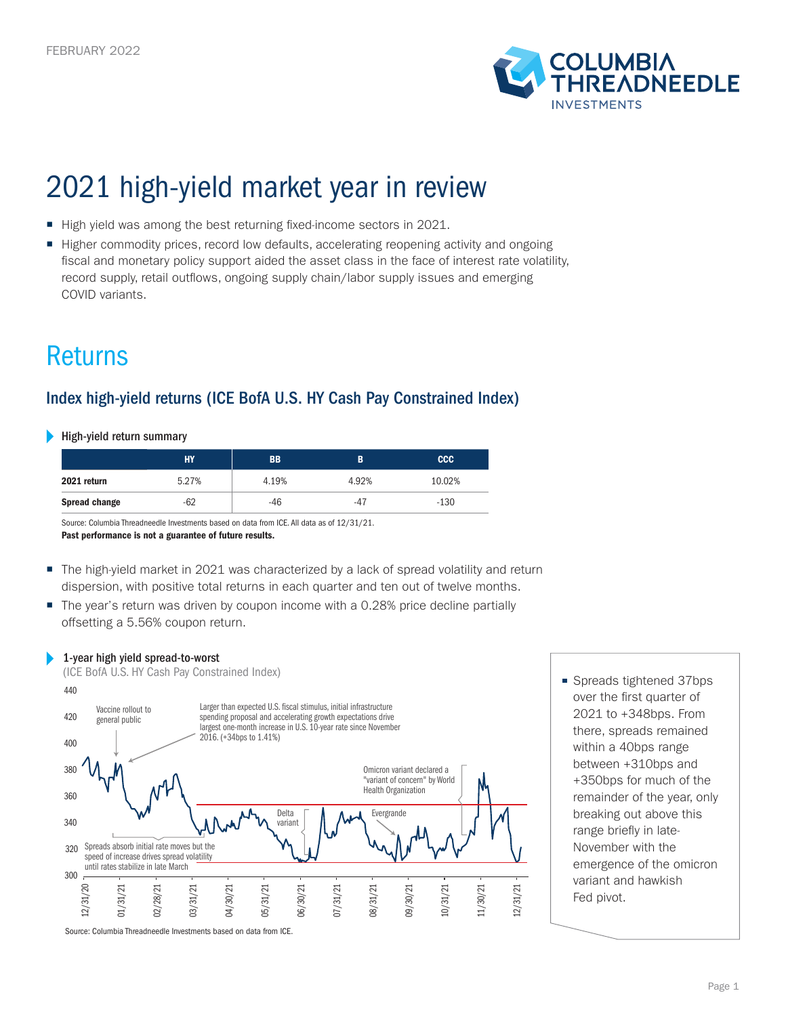

# 2021 high-yield market year in review

- High yield was among the best returning fixed-income sectors in 2021.
- Higher commodity prices, record low defaults, accelerating reopening activity and ongoing fiscal and monetary policy support aided the asset class in the face of interest rate volatility, record supply, retail outflows, ongoing supply chain/labor supply issues and emerging COVID variants.

# Returns

# Index high-yield returns (ICE BofA U.S. HY Cash Pay Constrained Index)

#### High-yield return summary

|                      | <b>HY</b> | <b>BB</b> | B     | ccc <sub>1</sub> |
|----------------------|-----------|-----------|-------|------------------|
| 2021 return          | 5.27%     | 4.19%     | 4.92% | 10.02%           |
| <b>Spread change</b> | $-62$     | $-46$     | $-47$ | $-130$           |

Source: Columbia Threadneedle Investments based on data from ICE. All data as of 12/31/21.

Past performance is not a guarantee of future results.

- The high-yield market in 2021 was characterized by a lack of spread volatility and return dispersion, with positive total returns in each quarter and ten out of twelve months.
- The year's return was driven by coupon income with a 0.28% price decline partially offsetting a 5.56% coupon return.

### 1-year high yield spread-to-worst



■ Spreads tightened 37bps over the first quarter of 2021 to +348bps. From there, spreads remained within a 40bps range between +310bps and +350bps for much of the remainder of the year, only breaking out above this range briefly in late-November with the emergence of the omicron variant and hawkish Fed pivot.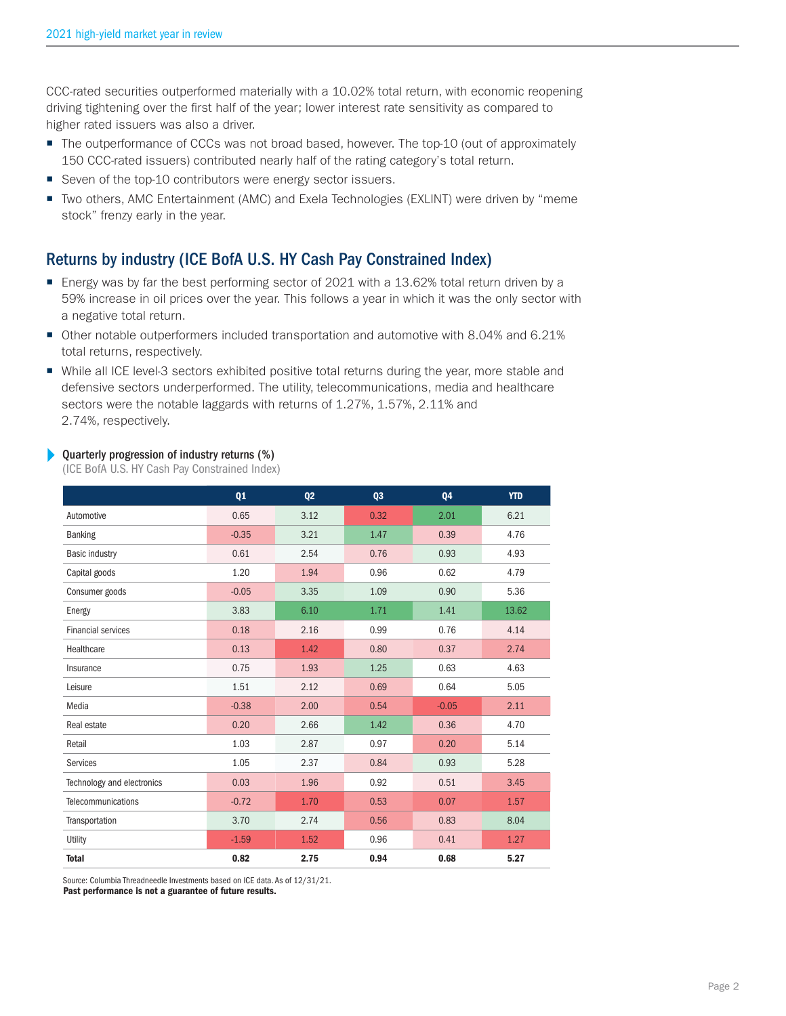CCC-rated securities outperformed materially with a 10.02% total return, with economic reopening driving tightening over the first half of the year; lower interest rate sensitivity as compared to higher rated issuers was also a driver.

- The outperformance of CCCs was not broad based, however. The top-10 (out of approximately 150 CCC-rated issuers) contributed nearly half of the rating category's total return.
- Seven of the top-10 contributors were energy sector issuers.
- Two others, AMC Entertainment (AMC) and Exela Technologies (EXLINT) were driven by "meme stock" frenzy early in the year.

# Returns by industry (ICE BofA U.S. HY Cash Pay Constrained Index)

- Energy was by far the best performing sector of 2021 with a 13.62% total return driven by a 59% increase in oil prices over the year. This follows a year in which it was the only sector with a negative total return.
- Other notable outperformers included transportation and automotive with 8.04% and 6.21% total returns, respectively.
- While all ICE level-3 sectors exhibited positive total returns during the year, more stable and defensive sectors underperformed. The utility, telecommunications, media and healthcare sectors were the notable laggards with returns of 1.27%, 1.57%, 2.11% and 2.74%, respectively.

#### Þ Quarterly progression of industry returns (%)

(ICE BofA U.S. HY Cash Pay Constrained Index)

|                            | Q1      | Q <sub>2</sub> | Q3   | Q4      | <b>YTD</b> |
|----------------------------|---------|----------------|------|---------|------------|
| Automotive                 | 0.65    | 3.12           | 0.32 | 2.01    | 6.21       |
| <b>Banking</b>             | $-0.35$ | 3.21           | 1.47 | 0.39    | 4.76       |
| Basic industry             | 0.61    | 2.54           | 0.76 | 0.93    | 4.93       |
| Capital goods              | 1.20    | 1.94           | 0.96 | 0.62    | 4.79       |
| Consumer goods             | $-0.05$ | 3.35           | 1.09 | 0.90    | 5.36       |
| Energy                     | 3.83    | 6.10           | 1.71 | 1.41    | 13.62      |
| <b>Financial services</b>  | 0.18    | 2.16           | 0.99 | 0.76    | 4.14       |
| Healthcare                 | 0.13    | 1.42           | 0.80 | 0.37    | 2.74       |
| Insurance                  | 0.75    | 1.93           | 1.25 | 0.63    | 4.63       |
| Leisure                    | 1.51    | 2.12           | 0.69 | 0.64    | 5.05       |
| Media                      | $-0.38$ | 2.00           | 0.54 | $-0.05$ | 2.11       |
| Real estate                | 0.20    | 2.66           | 1.42 | 0.36    | 4.70       |
| Retail                     | 1.03    | 2.87           | 0.97 | 0.20    | 5.14       |
| Services                   | 1.05    | 2.37           | 0.84 | 0.93    | 5.28       |
| Technology and electronics | 0.03    | 1.96           | 0.92 | 0.51    | 3.45       |
| Telecommunications         | $-0.72$ | 1.70           | 0.53 | 0.07    | 1.57       |
| Transportation             | 3.70    | 2.74           | 0.56 | 0.83    | 8.04       |
| Utility                    | $-1.59$ | 1.52           | 0.96 | 0.41    | 1.27       |
| <b>Total</b>               | 0.82    | 2.75           | 0.94 | 0.68    | 5.27       |

Source: Columbia Threadneedle Investments based on ICE data. As of 12/31/21.

Past performance is not a guarantee of future results.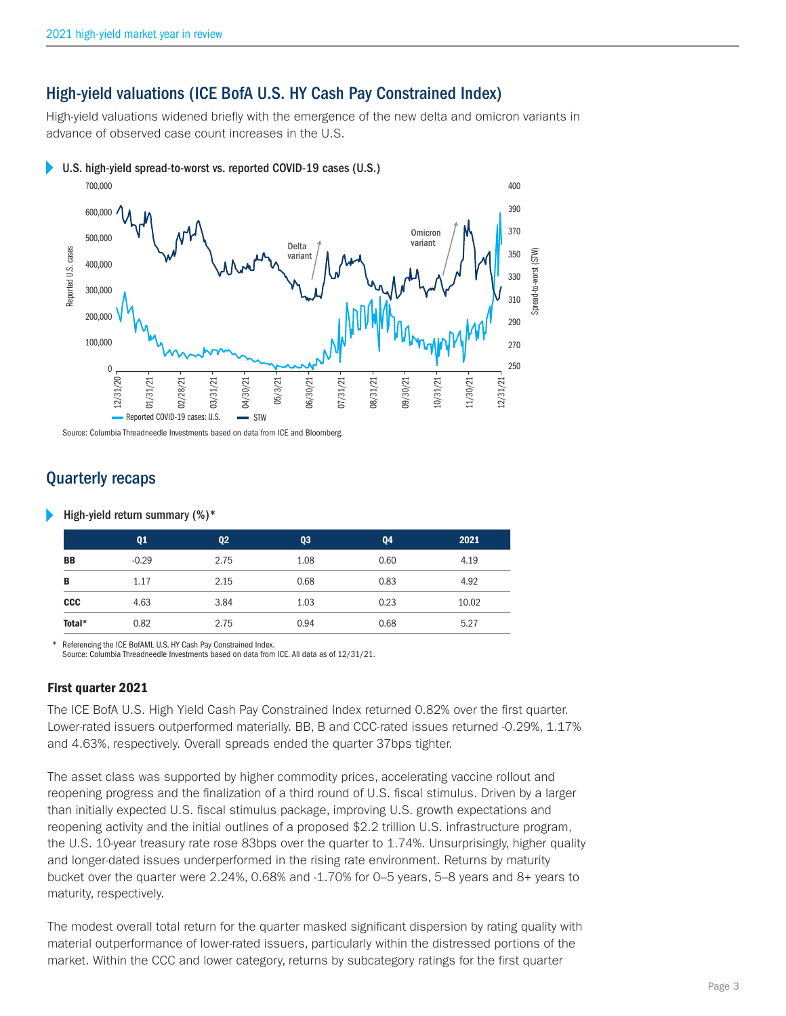## High-yield valuations (ICE BofA U.S. HY Cash Pay Constrained Index)

High-yield valuations widened briefly with the emergence of the new delta and omicron variants in advance of observed case count increases in the U.S.

U.S. high-yield spread-to-worst vs. reported COVID-19 cases (U.S.)



Source: Columbia Threadneedle Investments based on data from ICE and Bloomberg.

# Quarterly recaps

High-yield return summary (%)\*

|            | Q1      | Q <sub>2</sub> | Q3   | Q4   | 2021  |
|------------|---------|----------------|------|------|-------|
| <b>BB</b>  | $-0.29$ | 2.75           | 1.08 | 0.60 | 4.19  |
| B          | 1.17    | 2.15           | 0.68 | 0.83 | 4.92  |
| <b>CCC</b> | 4.63    | 3.84           | 1.03 | 0.23 | 10.02 |
| Total*     | 0.82    | 2.75           | 0.94 | 0.68 | 5.27  |

Referencing the ICE BofAML U.S. HY Cash Pay Constrained Index.

Source: Columbia Threadneedle Investments based on data from ICE. All data as of 12/31/21.

## First quarter 2021

The ICE BofA U.S. High Yield Cash Pay Constrained Index returned 0.82% over the first quarter. Lower-rated issuers outperformed materially. BB, B and CCC-rated issues returned -0.29%, 1.17% and 4.63%, respectively. Overall spreads ended the quarter 37bps tighter.

The asset class was supported by higher commodity prices, accelerating vaccine rollout and reopening progress and the finalization of a third round of U.S. fiscal stimulus. Driven by a larger than initially expected U.S. fiscal stimulus package, improving U.S. growth expectations and reopening activity and the initial outlines of a proposed \$2.2 trillion U.S. infrastructure program, the U.S. 10-year treasury rate rose 83bps over the quarter to 1.74%. Unsurprisingly, higher quality and longer-dated issues underperformed in the rising rate environment. Returns by maturity bucket over the quarter were 2.24%, 0.68% and -1.70% for 0–5 years, 5–8 years and 8+ years to maturity, respectively.

The modest overall total return for the quarter masked significant dispersion by rating quality with material outperformance of lower-rated issuers, particularly within the distressed portions of the market. Within the CCC and lower category, returns by subcategory ratings for the first quarter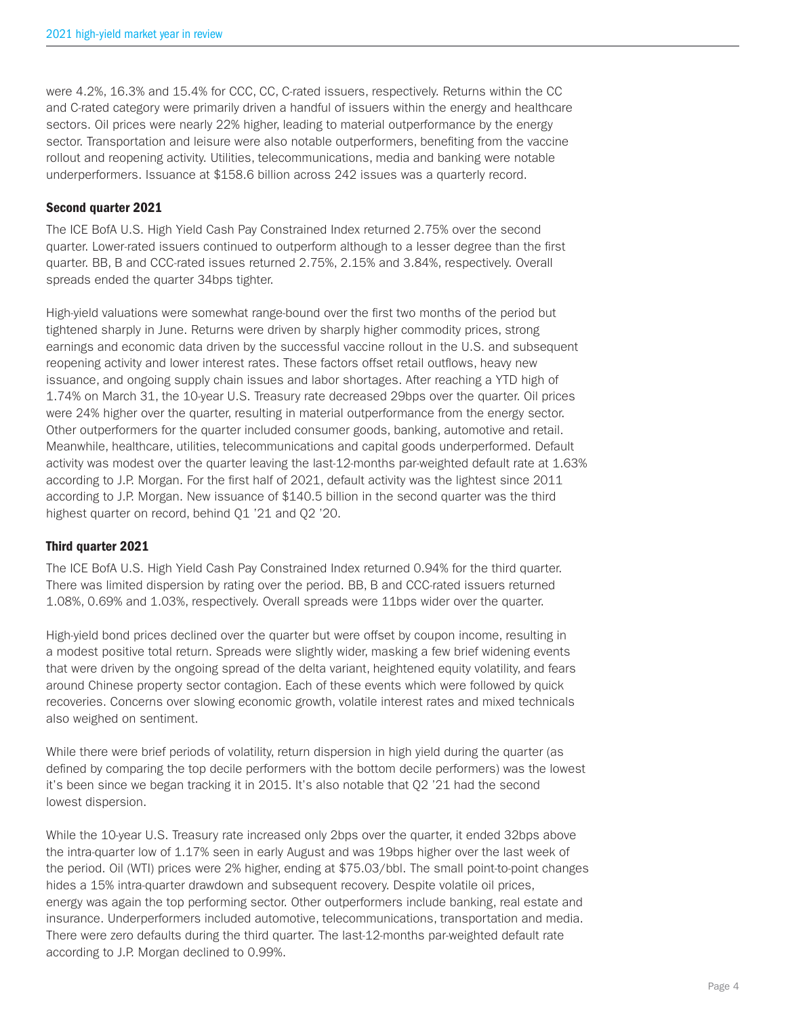were 4.2%, 16.3% and 15.4% for CCC, CC, C-rated issuers, respectively. Returns within the CC and C-rated category were primarily driven a handful of issuers within the energy and healthcare sectors. Oil prices were nearly 22% higher, leading to material outperformance by the energy sector. Transportation and leisure were also notable outperformers, benefiting from the vaccine rollout and reopening activity. Utilities, telecommunications, media and banking were notable underperformers. Issuance at \$158.6 billion across 242 issues was a quarterly record.

## Second quarter 2021

The ICE BofA U.S. High Yield Cash Pay Constrained Index returned 2.75% over the second quarter. Lower-rated issuers continued to outperform although to a lesser degree than the first quarter. BB, B and CCC-rated issues returned 2.75%, 2.15% and 3.84%, respectively. Overall spreads ended the quarter 34bps tighter.

High-yield valuations were somewhat range-bound over the first two months of the period but tightened sharply in June. Returns were driven by sharply higher commodity prices, strong earnings and economic data driven by the successful vaccine rollout in the U.S. and subsequent reopening activity and lower interest rates. These factors offset retail outflows, heavy new issuance, and ongoing supply chain issues and labor shortages. After reaching a YTD high of 1.74% on March 31, the 10-year U.S. Treasury rate decreased 29bps over the quarter. Oil prices were 24% higher over the quarter, resulting in material outperformance from the energy sector. Other outperformers for the quarter included consumer goods, banking, automotive and retail. Meanwhile, healthcare, utilities, telecommunications and capital goods underperformed. Default activity was modest over the quarter leaving the last-12-months par-weighted default rate at 1.63% according to J.P. Morgan. For the first half of 2021, default activity was the lightest since 2011 according to J.P. Morgan. New issuance of \$140.5 billion in the second quarter was the third highest quarter on record, behind Q1 '21 and Q2 '20.

### Third quarter 2021

The ICE BofA U.S. High Yield Cash Pay Constrained Index returned 0.94% for the third quarter. There was limited dispersion by rating over the period. BB, B and CCC-rated issuers returned 1.08%, 0.69% and 1.03%, respectively. Overall spreads were 11bps wider over the quarter.

High-yield bond prices declined over the quarter but were offset by coupon income, resulting in a modest positive total return. Spreads were slightly wider, masking a few brief widening events that were driven by the ongoing spread of the delta variant, heightened equity volatility, and fears around Chinese property sector contagion. Each of these events which were followed by quick recoveries. Concerns over slowing economic growth, volatile interest rates and mixed technicals also weighed on sentiment.

While there were brief periods of volatility, return dispersion in high yield during the quarter (as defined by comparing the top decile performers with the bottom decile performers) was the lowest it's been since we began tracking it in 2015. It's also notable that Q2 '21 had the second lowest dispersion.

While the 10-year U.S. Treasury rate increased only 2bps over the quarter, it ended 32bps above the intra-quarter low of 1.17% seen in early August and was 19bps higher over the last week of the period. Oil (WTI) prices were 2% higher, ending at \$75.03/bbl. The small point-to-point changes hides a 15% intra-quarter drawdown and subsequent recovery. Despite volatile oil prices, energy was again the top performing sector. Other outperformers include banking, real estate and insurance. Underperformers included automotive, telecommunications, transportation and media. There were zero defaults during the third quarter. The last-12-months par-weighted default rate according to J.P. Morgan declined to 0.99%.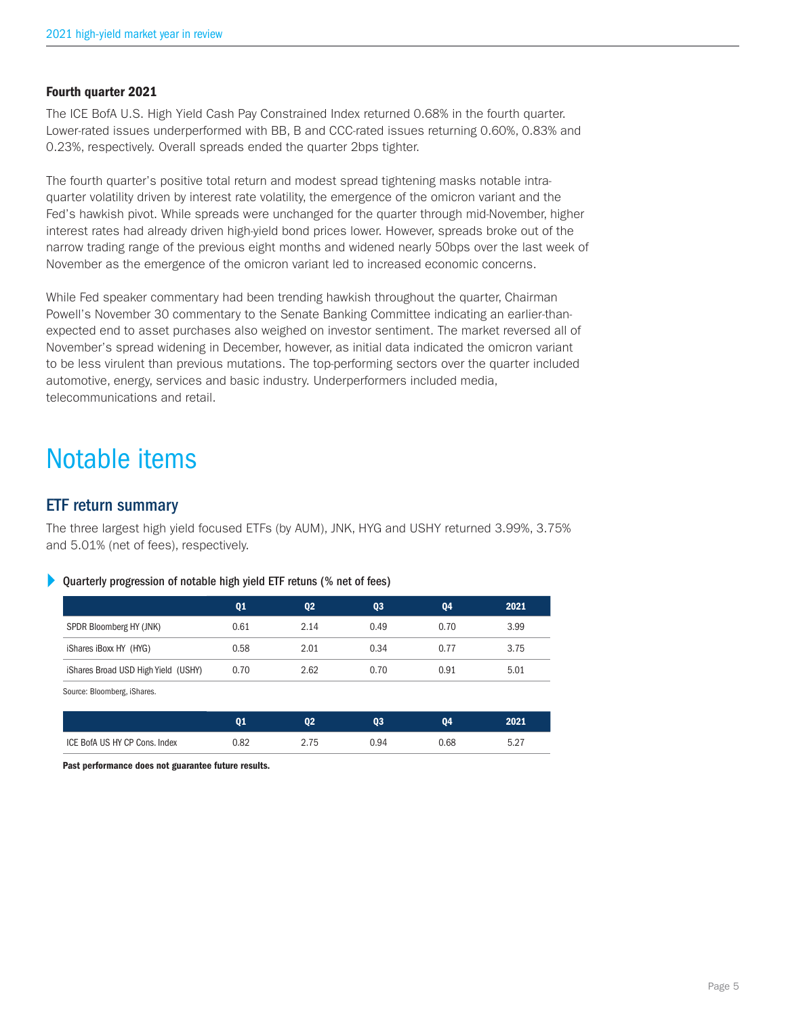### Fourth quarter 2021

The ICE BofA U.S. High Yield Cash Pay Constrained Index returned 0.68% in the fourth quarter. Lower-rated issues underperformed with BB, B and CCC-rated issues returning 0.60%, 0.83% and 0.23%, respectively. Overall spreads ended the quarter 2bps tighter.

The fourth quarter's positive total return and modest spread tightening masks notable intraquarter volatility driven by interest rate volatility, the emergence of the omicron variant and the Fed's hawkish pivot. While spreads were unchanged for the quarter through mid-November, higher interest rates had already driven high-yield bond prices lower. However, spreads broke out of the narrow trading range of the previous eight months and widened nearly 50bps over the last week of November as the emergence of the omicron variant led to increased economic concerns.

While Fed speaker commentary had been trending hawkish throughout the quarter, Chairman Powell's November 30 commentary to the Senate Banking Committee indicating an earlier-thanexpected end to asset purchases also weighed on investor sentiment. The market reversed all of November's spread widening in December, however, as initial data indicated the omicron variant to be less virulent than previous mutations. The top-performing sectors over the quarter included automotive, energy, services and basic industry. Underperformers included media, telecommunications and retail.

# Notable items

## ETF return summary

The three largest high yield focused ETFs (by AUM), JNK, HYG and USHY returned 3.99%, 3.75% and 5.01% (net of fees), respectively.

#### Þ Quarterly progression of notable high yield ETF retuns (% net of fees)

|                                     | Q <sub>1</sub> | Q <sub>2</sub> | Q3   | Q4   | 2021 |
|-------------------------------------|----------------|----------------|------|------|------|
| SPDR Bloomberg HY (JNK)             | 0.61           | 2.14           | 0.49 | 0.70 | 3.99 |
| iShares iBoxx HY (HYG)              | 0.58           | 2.01           | 0.34 | 0.77 | 3.75 |
| iShares Broad USD High Yield (USHY) | 0.70           | 2.62           | 0.70 | 0.91 | 5.01 |
| Source: Bloomberg, iShares.         |                |                |      |      |      |

|                               |      | n۵<br>JZ. | 03   | ባ4   | 2021 |
|-------------------------------|------|-----------|------|------|------|
| ICE BofA US HY CP Cons. Index | 0.82 | 75        | 0.94 | 0.68 | 5.27 |

Past performance does not guarantee future results.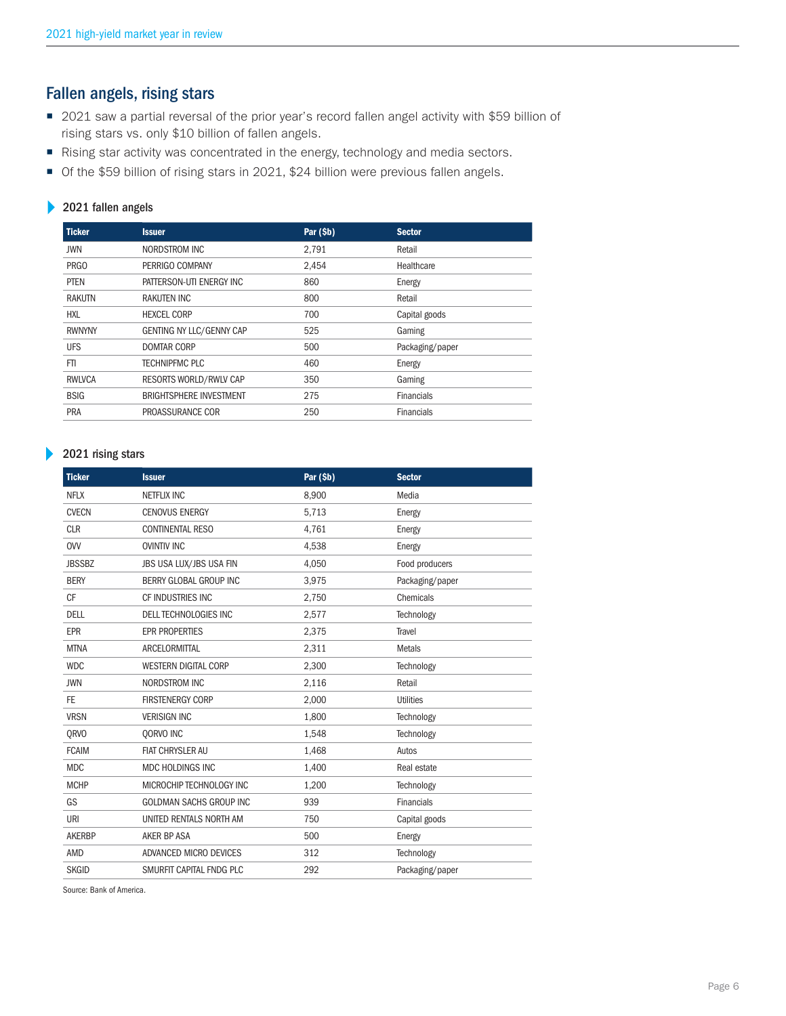# Fallen angels, rising stars

- 2021 saw a partial reversal of the prior year's record fallen angel activity with \$59 billion of rising stars vs. only \$10 billion of fallen angels.
- Rising star activity was concentrated in the energy, technology and media sectors.
- Of the \$59 billion of rising stars in 2021, \$24 billion were previous fallen angels.

### 2021 fallen angels

| <b>Ticker</b> | <b>Issuer</b>                  | Par (\$b) | <b>Sector</b>     |
|---------------|--------------------------------|-----------|-------------------|
| JWN           | NORDSTROM INC                  | 2.791     | Retail            |
| <b>PRGO</b>   | PERRIGO COMPANY                | 2,454     | Healthcare        |
| PTEN          | PATTERSON-UTI ENERGY INC       | 860       | Energy            |
| RAKUTN        | RAKUTEN INC                    | 800       | Retail            |
| <b>HXL</b>    | <b>HEXCEL CORP</b>             | 700       | Capital goods     |
| <b>RWNYNY</b> | GENTING NY LLC/GENNY CAP       | 525       | Gaming            |
| <b>UFS</b>    | <b>DOMTAR CORP</b>             | 500       | Packaging/paper   |
| FTI.          | <b>TECHNIPFMC PLC</b>          | 460       | Energy            |
| <b>RWLVCA</b> | RESORTS WORLD/RWLV CAP         | 350       | Gaming            |
| <b>BSIG</b>   | <b>BRIGHTSPHERE INVESTMENT</b> | 275       | <b>Financials</b> |
| PRA           | PROASSURANCE COR               | 250       | <b>Financials</b> |

#### 2021 rising stars  $\blacktriangleright$

| <b>Ticker</b> | <b>Issuer</b>                  | Par (\$b) | <b>Sector</b>     |
|---------------|--------------------------------|-----------|-------------------|
| <b>NFLX</b>   | <b>NETFLIX INC</b>             | 8,900     | Media             |
| <b>CVECN</b>  | <b>CENOVUS ENERGY</b>          | 5,713     | Energy            |
| <b>CLR</b>    | <b>CONTINENTAL RESO</b>        | 4,761     | Energy            |
| <b>OVV</b>    | <b>OVINTIV INC</b>             | 4,538     | Energy            |
| <b>JBSSBZ</b> | JBS USA LUX/JBS USA FIN        | 4,050     | Food producers    |
| <b>BERY</b>   | BERRY GLOBAL GROUP INC         | 3,975     | Packaging/paper   |
| <b>CF</b>     | CF INDUSTRIES INC              | 2,750     | Chemicals         |
| DELL          | <b>DELL TECHNOLOGIES INC</b>   | 2,577     | Technology        |
| <b>EPR</b>    | <b>EPR PROPERTIES</b>          | 2,375     | Travel            |
| <b>MTNA</b>   | ARCELORMITTAL                  | 2,311     | <b>Metals</b>     |
| <b>WDC</b>    | <b>WESTERN DIGITAL CORP</b>    | 2,300     | Technology        |
| <b>JWN</b>    | <b>NORDSTROM INC</b>           | 2,116     | Retail            |
| FE.           | <b>FIRSTENERGY CORP</b>        | 2,000     | <b>Utilities</b>  |
| <b>VRSN</b>   | <b>VERISIGN INC</b>            | 1,800     | Technology        |
| <b>ORVO</b>   | OORVO INC                      | 1.548     | Technology        |
| <b>FCAIM</b>  | <b>FIAT CHRYSLER AU</b>        | 1,468     | Autos             |
| <b>MDC</b>    | MDC HOLDINGS INC               | 1,400     | Real estate       |
| <b>MCHP</b>   | MICROCHIP TECHNOLOGY INC       | 1,200     | Technology        |
| GS            | <b>GOLDMAN SACHS GROUP INC</b> | 939       | <b>Financials</b> |
| URI           | UNITED RENTALS NORTH AM        | 750       | Capital goods     |
| <b>AKERBP</b> | <b>AKER BP ASA</b>             | 500       | Energy            |
| <b>AMD</b>    | ADVANCED MICRO DEVICES         | 312       | Technology        |
| <b>SKGID</b>  | SMURFIT CAPITAL FNDG PLC       | 292       | Packaging/paper   |

Source: Bank of America.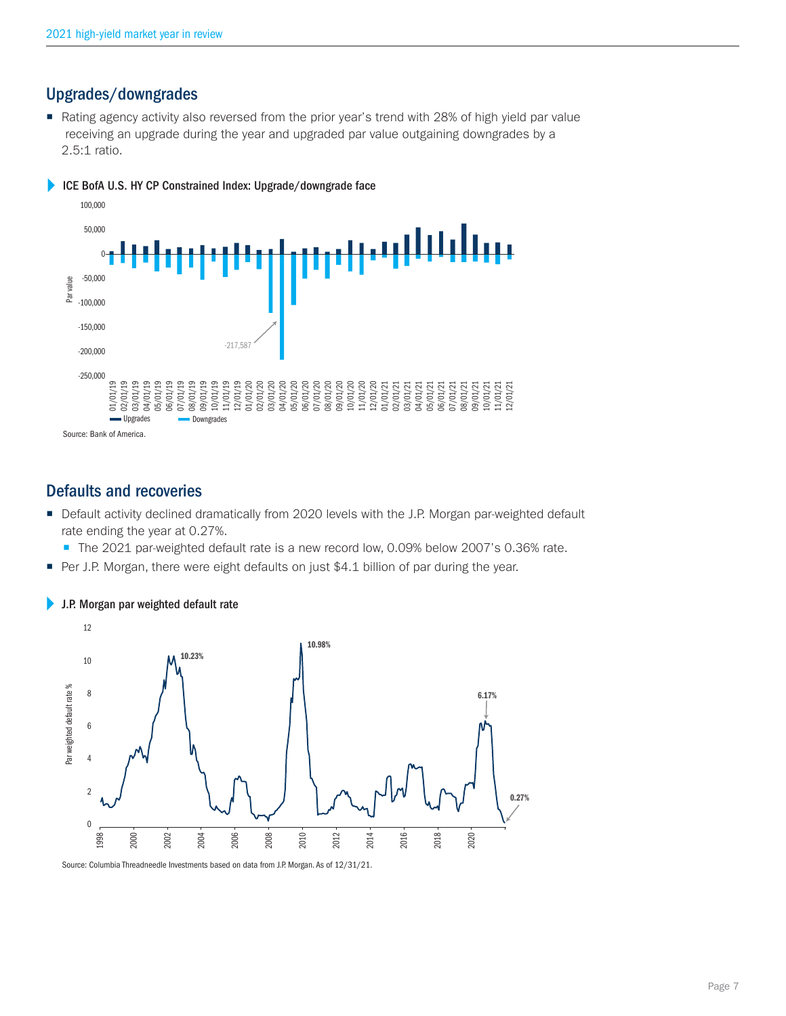## Upgrades/downgrades

Rating agency activity also reversed from the prior year's trend with 28% of high yield par value receiving an upgrade during the year and upgraded par value outgaining downgrades by a 2.5:1 ratio.





## Defaults and recoveries

- **Default activity declined dramatically from 2020 levels with the J.P. Morgan par-weighted default** rate ending the year at 0.27%.
	- The 2021 par-weighted default rate is a new record low, 0.09% below 2007's 0.36% rate.
- Per J.P. Morgan, there were eight defaults on just \$4.1 billion of par during the year.



## J.P. Morgan par weighted default rate

Source: Columbia Threadneedle Investments based on data from J.P. Morgan. As of 12/31/21.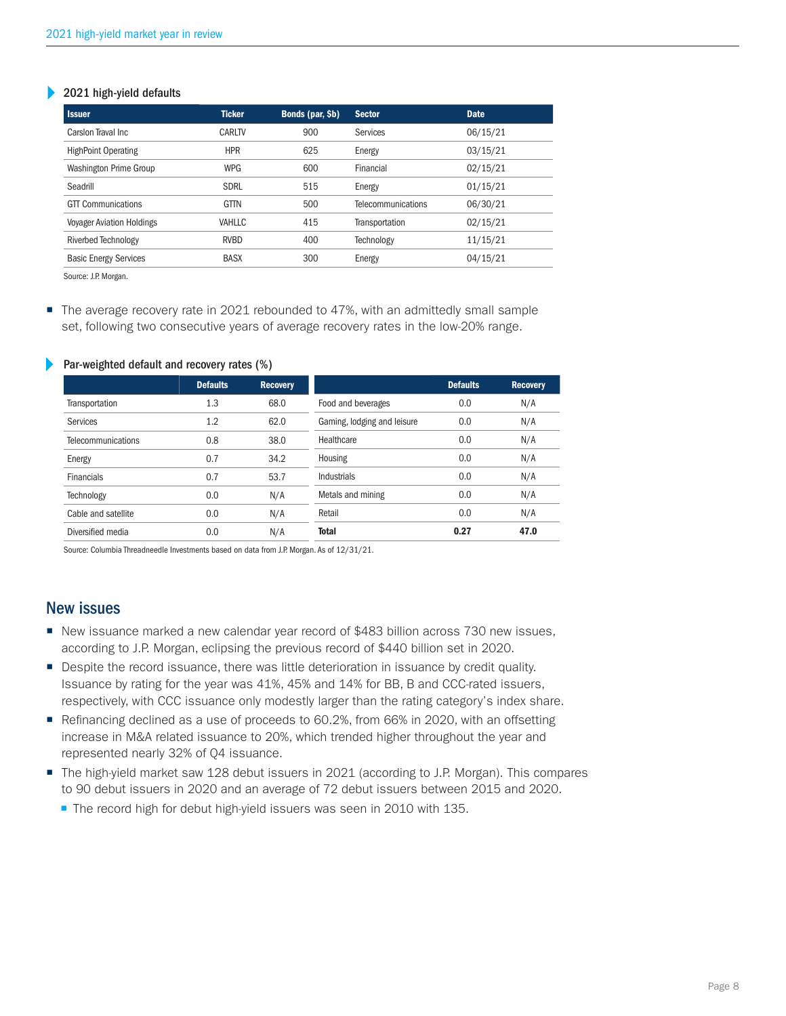#### 2021 high-yield defaults Þ

| <b>Issuer</b>                    | <b>Ticker</b> | Bonds (par, \$b) | <b>Sector</b>             | <b>Date</b> |
|----------------------------------|---------------|------------------|---------------------------|-------------|
| Carsion Traval Inc.              | CARLTV        | 900              | Services                  | 06/15/21    |
| <b>HighPoint Operating</b>       | <b>HPR</b>    | 625              | Energy                    | 03/15/21    |
| Washington Prime Group           | <b>WPG</b>    | 600              | Financial                 | 02/15/21    |
| Seadrill                         | <b>SDRL</b>   | 515              | Energy                    | 01/15/21    |
| <b>GTT Communications</b>        | <b>GTTN</b>   | 500              | <b>Telecommunications</b> | 06/30/21    |
| <b>Voyager Aviation Holdings</b> | VAHLLC        | 415              | Transportation            | 02/15/21    |
| Riverbed Technology              | <b>RVBD</b>   | 400              | Technology                | 11/15/21    |
| <b>Basic Energy Services</b>     | <b>BASX</b>   | 300              | Energy                    | 04/15/21    |
|                                  |               |                  |                           |             |

Source: J.P. Morgan.

The average recovery rate in 2021 rebounded to 47%, with an admittedly small sample set, following two consecutive years of average recovery rates in the low-20% range.

|                           | <b>Defaults</b> | <b>Recovery</b> |                             | <b>Defaults</b> | <b>Recovery</b> |
|---------------------------|-----------------|-----------------|-----------------------------|-----------------|-----------------|
| Transportation            | 1.3             | 68.0            | Food and beverages          | 0.0             | N/A             |
| Services                  | 1.2             | 62.0            | Gaming, lodging and leisure | 0.0             | N/A             |
| <b>Telecommunications</b> | 0.8             | 38.0            | Healthcare                  | 0.0             | N/A             |
| Energy                    | 0.7             | 34.2            | Housing                     | 0.0             | N/A             |
| <b>Financials</b>         | 0.7             | 53.7            | Industrials                 | 0.0             | N/A             |
| Technology                | 0.0             | N/A             | Metals and mining           | 0.0             | N/A             |
| Cable and satellite       | 0.0             | N/A             | Retail                      | 0.0             | N/A             |
| Diversified media         | 0.0             | N/A             | <b>Total</b>                | 0.27            | 47.0            |

#### Par-weighted default and recovery rates (%)

Source: Columbia Threadneedle Investments based on data from J.P. Morgan. As of 12/31/21.

## New issues

- New issuance marked a new calendar year record of \$483 billion across 730 new issues, according to J.P. Morgan, eclipsing the previous record of \$440 billion set in 2020.
- **Despite the record issuance, there was little deterioration in issuance by credit quality.** Issuance by rating for the year was 41%, 45% and 14% for BB, B and CCC-rated issuers, respectively, with CCC issuance only modestly larger than the rating category's index share.
- Refinancing declined as a use of proceeds to 60.2%, from 66% in 2020, with an offsetting increase in M&A related issuance to 20%, which trended higher throughout the year and represented nearly 32% of Q4 issuance.
- The high-yield market saw 128 debut issuers in 2021 (according to J.P. Morgan). This compares to 90 debut issuers in 2020 and an average of 72 debut issuers between 2015 and 2020.
	- The record high for debut high-yield issuers was seen in 2010 with 135.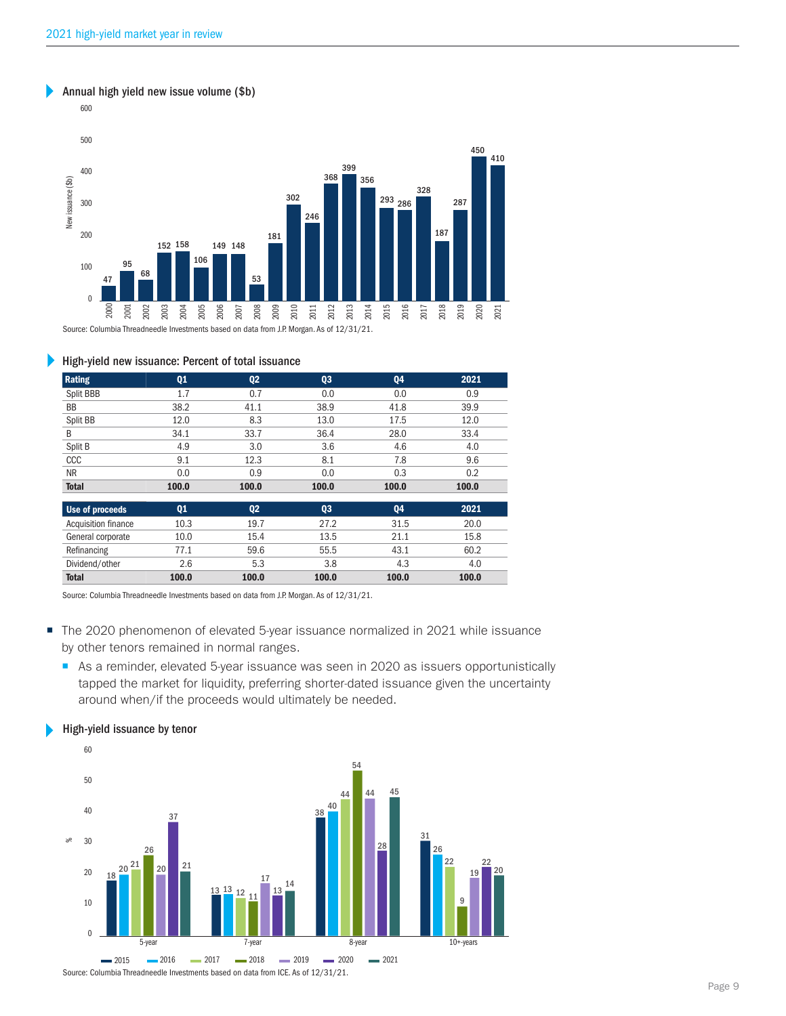#### Annual high yield new issue volume (\$b)



#### Þ High-yield new issuance: Percent of total issuance

| Rating              | Q <sub>1</sub> | Q <sub>2</sub> | Q <sub>3</sub> | Q4    | 2021  |
|---------------------|----------------|----------------|----------------|-------|-------|
| Split BBB           | 1.7            | 0.7            | 0.0            | 0.0   | 0.9   |
| <b>BB</b>           | 38.2           | 41.1           | 38.9           | 41.8  | 39.9  |
| Split BB            | 12.0           | 8.3            | 13.0           | 17.5  | 12.0  |
| B                   | 34.1           | 33.7           | 36.4           | 28.0  | 33.4  |
| Split B             | 4.9            | 3.0            | 3.6            | 4.6   | 4.0   |
| ccc                 | 9.1            | 12.3           | 8.1            | 7.8   | 9.6   |
| NR.                 | 0.0            | 0.9            | 0.0            | 0.3   | 0.2   |
| <b>Total</b>        | 100.0          | 100.0          | 100.0          | 100.0 | 100.0 |
| Use of proceeds     | Q <sub>1</sub> | Q <sub>2</sub> | Q3             | Q4    | 2021  |
| Acquisition finance | 10.3           | 19.7           | 27.2           | 31.5  | 20.0  |
| General corporate   | 10.0           | 15.4           | 13.5           | 21.1  | 15.8  |
| Refinancing         | 77.1           | 59.6           | 55.5           | 43.1  | 60.2  |
| Dividend/other      | 2.6            | 5.3            | 3.8            | 4.3   | 4.0   |
| <b>Total</b>        | 100.0          | 100.0          | 100.0          | 100.0 | 100.0 |

Source: Columbia Threadneedle Investments based on data from J.P. Morgan. As of 12/31/21.

- The 2020 phenomenon of elevated 5-year issuance normalized in 2021 while issuance by other tenors remained in normal ranges.
	- As a reminder, elevated 5-year issuance was seen in 2020 as issuers opportunistically tapped the market for liquidity, preferring shorter-dated issuance given the uncertainty around when/if the proceeds would ultimately be needed.

#### High-yield issuance by tenor



Source: Columbia Threadneedle Investments based on data from ICE. As of 12/31/21.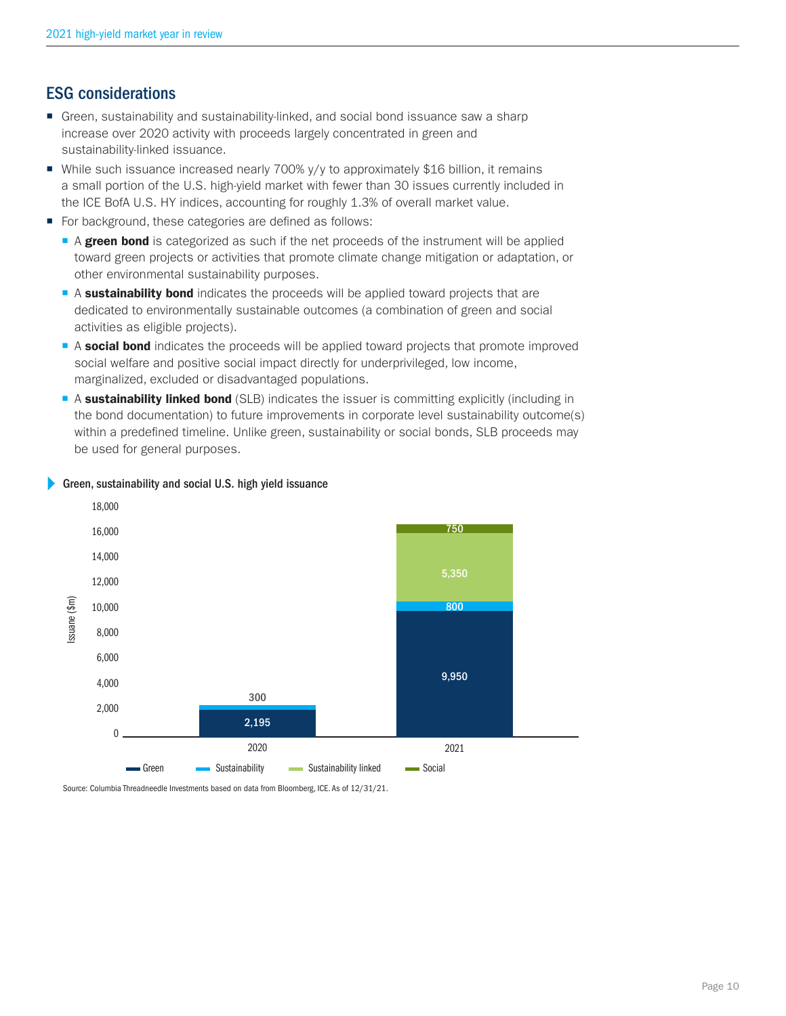# ESG Considerations

- Green, sustainability and sustainability-linked, and social bond issuance saw a sharp increase over 2020 activity with proceeds largely concentrated in green and sustainability-linked issuance.
- While such issuance increased nearly 700% y/y to approximately \$16 billion, it remains a small portion of the U.S. high-yield market with fewer than 30 issues currently included in the ICE BofA U.S. HY indices, accounting for roughly 1.3% of overall market value.
- For background, these categories are defined as follows:
	- A green bond is categorized as such if the net proceeds of the instrument will be applied toward green projects or activities that promote climate change mitigation or adaptation, or other environmental sustainability purposes.
	- A sustainability bond indicates the proceeds will be applied toward projects that are dedicated to environmentally sustainable outcomes (a combination of green and social activities as eligible projects).
	- A social bond indicates the proceeds will be applied toward projects that promote improved social welfare and positive social impact directly for underprivileged, low income, marginalized, excluded or disadvantaged populations.
	- A sustainability linked bond (SLB) indicates the issuer is committing explicitly (including in the bond documentation) to future improvements in corporate level sustainability outcome(s) within a predefined timeline. Unlike green, sustainability or social bonds, SLB proceeds may be used for general purposes.



## Green, sustainability and social U.S. high yield issuance

Source: Columbia Threadneedle Investments based on data from Bloomberg, ICE. As of 12/31/21.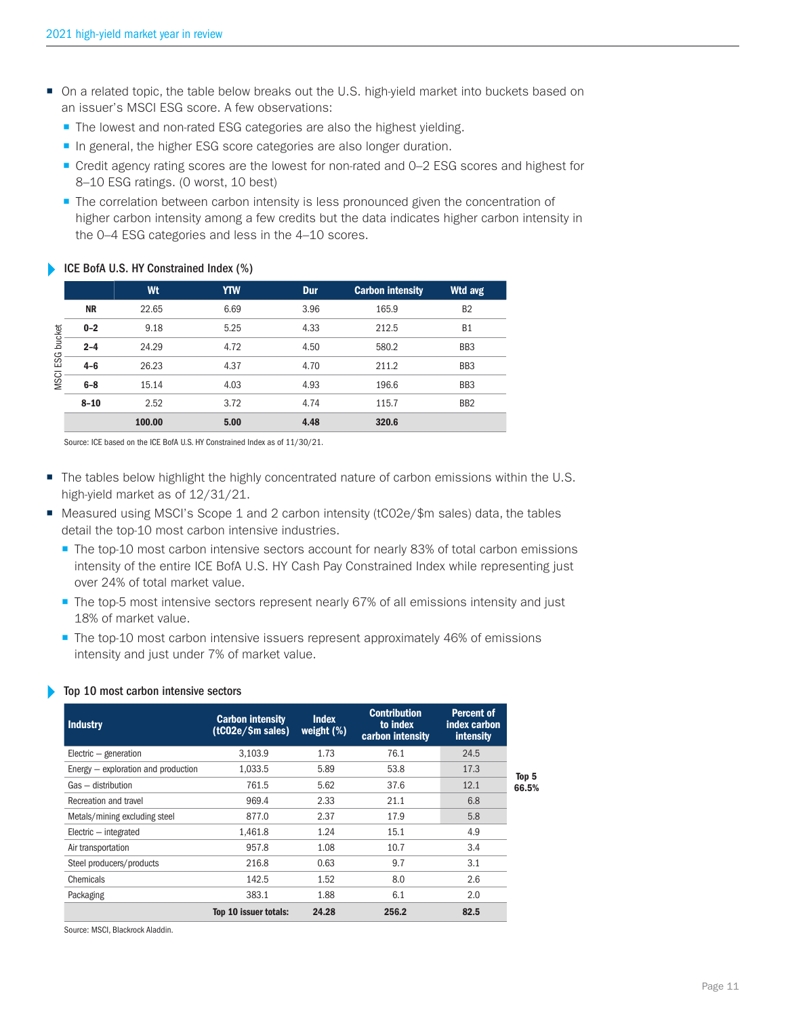- On a related topic, the table below breaks out the U.S. high-yield market into buckets based on an issuer's MSCI ESG score. A few observations:
	- The lowest and non-rated ESG categories are also the highest yielding.
	- In general, the higher ESG score categories are also longer duration.
	- Credit agency rating scores are the lowest for non-rated and 0–2 ESG scores and highest for 8–10 ESG ratings. (0 worst, 10 best)
	- **The correlation between carbon intensity is less pronounced given the concentration of** higher carbon intensity among a few credits but the data indicates higher carbon intensity in the 0–4 ESG categories and less in the 4–10 scores.

## ICE BofA U.S. HY Constrained Index (%)

|             |           | Wt     | <b>YTW</b> | Dur  | <b>Carbon intensity</b> | Wtd avg         |
|-------------|-----------|--------|------------|------|-------------------------|-----------------|
|             | <b>NR</b> | 22.65  | 6.69       | 3.96 | 165.9                   | B <sub>2</sub>  |
| bucket      | $0 - 2$   | 9.18   | 5.25       | 4.33 | 212.5                   | <b>B1</b>       |
|             | $2 - 4$   | 24.29  | 4.72       | 4.50 | 580.2                   | BB <sub>3</sub> |
| ESG         | $4 - 6$   | 26.23  | 4.37       | 4.70 | 211.2                   | BB <sub>3</sub> |
| <b>MSCI</b> | $6-8$     | 15.14  | 4.03       | 4.93 | 196.6                   | BB <sub>3</sub> |
|             | $8 - 10$  | 2.52   | 3.72       | 4.74 | 115.7                   | B <sub>B2</sub> |
|             |           | 100.00 | 5.00       | 4.48 | 320.6                   |                 |

Source: ICE based on the ICE BofA U.S. HY Constrained Index as of 11/30/21.

- The tables below highlight the highly concentrated nature of carbon emissions within the U.S. high-yield market as of 12/31/21.
- $\blacksquare$  Measured using MSCI's Scope 1 and 2 carbon intensity (tC02e/\$m sales) data, the tables detail the top-10 most carbon intensive industries.
	- The top-10 most carbon intensive sectors account for nearly 83% of total carbon emissions intensity of the entire ICE BofA U.S. HY Cash Pay Constrained Index while representing just over 24% of total market value.
	- The top-5 most intensive sectors represent nearly 67% of all emissions intensity and just 18% of market value.
	- The top-10 most carbon intensive issuers represent approximately 46% of emissions intensity and just under 7% of market value.

### Top 10 most carbon intensive sectors

| <b>Industry</b>                       | <b>Carbon intensity</b><br>(tCO2e/5m sales) | <b>Index</b><br>weight $(\%)$ | <b>Contribution</b><br>to index<br>carbon intensity | Percent of<br>index carbon<br>intensity |       |
|---------------------------------------|---------------------------------------------|-------------------------------|-----------------------------------------------------|-----------------------------------------|-------|
| Electric - generation                 | 3.103.9                                     | 1.73                          | 76.1                                                | 24.5                                    |       |
| Energy $-$ exploration and production | 1.033.5                                     | 5.89                          | 53.8                                                | 17.3                                    | Top 5 |
| Gas - distribution                    | 761.5                                       | 5.62                          | 37.6                                                | 12.1                                    | 66.5% |
| Recreation and travel                 | 969.4                                       | 2.33                          | 21.1                                                | 6.8                                     |       |
| Metals/mining excluding steel         | 877.0                                       | 2.37                          | 17.9                                                | 5.8                                     |       |
| $Electric - integrated$               | 1.461.8                                     | 1.24                          | 15.1                                                | 4.9                                     |       |
| Air transportation                    | 957.8                                       | 1.08                          | 10.7                                                | 3.4                                     |       |
| Steel producers/products              | 216.8                                       | 0.63                          | 9.7                                                 | 3.1                                     |       |
| Chemicals                             | 142.5                                       | 1.52                          | 8.0                                                 | 2.6                                     |       |
| Packaging                             | 383.1                                       | 1.88                          | 6.1                                                 | 2.0                                     |       |
|                                       | Top 10 issuer totals:                       | 24.28                         | 256.2                                               | 82.5                                    |       |

Source: MSCI, Blackrock Aladdin.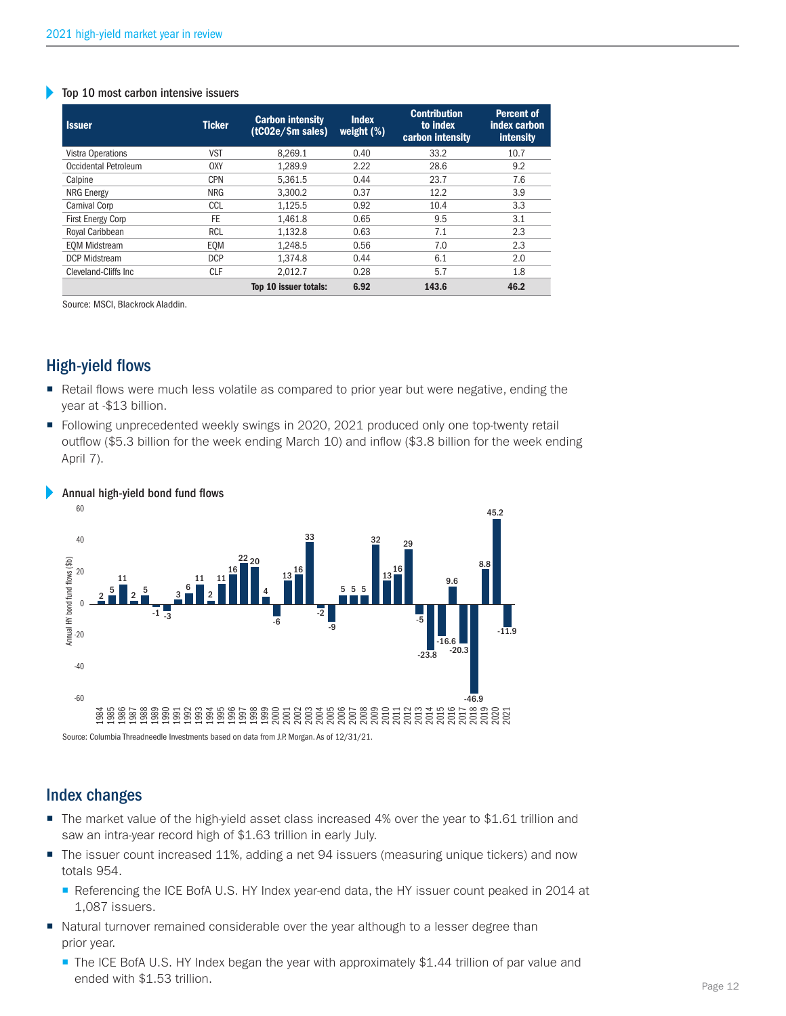#### Top 10 most carbon intensive issuers

| <b>Issuer</b>            | <b>Ticker</b> | <b>Carbon intensity</b><br>(tC02e/\$m sales) | <b>Index</b><br>weight $(\%)$ | <b>Contribution</b><br>to index<br>carbon intensity | <b>Percent of</b><br>index carbon<br>intensity |
|--------------------------|---------------|----------------------------------------------|-------------------------------|-----------------------------------------------------|------------------------------------------------|
| Vistra Operations        | <b>VST</b>    | 8.269.1                                      | 0.40                          | 33.2                                                | 10.7                                           |
| Occidental Petroleum     | 0XY           | 1.289.9                                      | 2.22                          | 28.6                                                | 9.2                                            |
| Calpine                  | <b>CPN</b>    | 5.361.5                                      | 0.44                          | 23.7                                                | 7.6                                            |
| <b>NRG Energy</b>        | <b>NRG</b>    | 3.300.2                                      | 0.37                          | 12.2                                                | 3.9                                            |
| Carnival Corp            | CCL           | 1.125.5                                      | 0.92                          | 10.4                                                | 3.3                                            |
| <b>First Energy Corp</b> | FE.           | 1.461.8                                      | 0.65                          | 9.5                                                 | 3.1                                            |
| Royal Caribbean          | <b>RCL</b>    | 1,132.8                                      | 0.63                          | 7.1                                                 | 2.3                                            |
| <b>EOM Midstream</b>     | EOM           | 1.248.5                                      | 0.56                          | 7.0                                                 | 2.3                                            |
| <b>DCP Midstream</b>     | <b>DCP</b>    | 1.374.8                                      | 0.44                          | 6.1                                                 | 2.0                                            |
| Cleveland-Cliffs Inc.    | CLF           | 2.012.7                                      | 0.28                          | 5.7                                                 | 1.8                                            |
|                          |               | Top 10 issuer totals:                        | 6.92                          | 143.6                                               | 46.2                                           |

Source: MSCI, Blackrock Aladdin.

# High-yield flows

- Retail flows were much less volatile as compared to prior year but were negative, ending the year at -\$13 billion.
- Following unprecedented weekly swings in 2020, 2021 produced only one top-twenty retail outflow (\$5.3 billion for the week ending March 10) and inflow (\$3.8 billion for the week ending April 7).



#### Annual high-yield bond fund flows

# Index Changes

- The market value of the high-yield asset class increased 4% over the year to \$1.61 trillion and saw an intra-year record high of \$1.63 trillion in early July.
- The issuer count increased 11%, adding a net 94 issuers (measuring unique tickers) and now totals 954.
	- Referencing the ICE BofA U.S. HY Index year-end data, the HY issuer count peaked in 2014 at 1,087 issuers.
- Natural turnover remained considerable over the year although to a lesser degree than prior year.
	- The ICE BofA U.S. HY Index began the year with approximately \$1.44 trillion of par value and ended with \$1.53 trillion.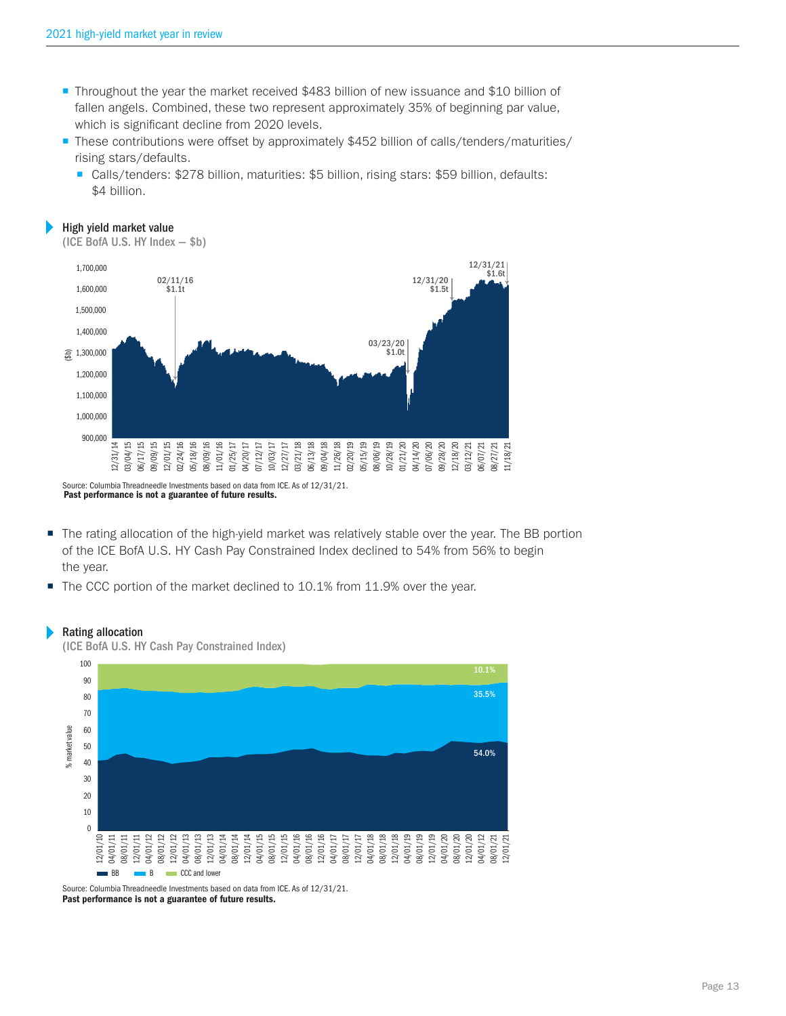- **Throughout the year the market received \$483 billion of new issuance and \$10 billion of** fallen angels. Combined, these two represent approximately 35% of beginning par value, which is significant decline from 2020 levels.
- **These contributions were offset by approximately \$452 billion of calls/tenders/maturities/** rising stars/defaults.
	- Calls/tenders: \$278 billion, maturities: \$5 billion, rising stars: \$59 billion, defaults: \$4 billion.



(ICE BofA U.S. HY Index — \$b)



Past performance is not a guarantee of future results.

(ICE BofA U.S. HY Cash Pay Constrained Index)

- The rating allocation of the high-yield market was relatively stable over the year. The BB portion of the ICE BofA U.S. HY Cash Pay Constrained Index declined to 54% from 56% to begin the year.
- The CCC portion of the market declined to 10.1% from 11.9% over the year.

#### Rating allocation



Source: Columbia Threadneedle Investments based on data from ICE. As of 12/31/21. Past performance is not a guarantee of future results.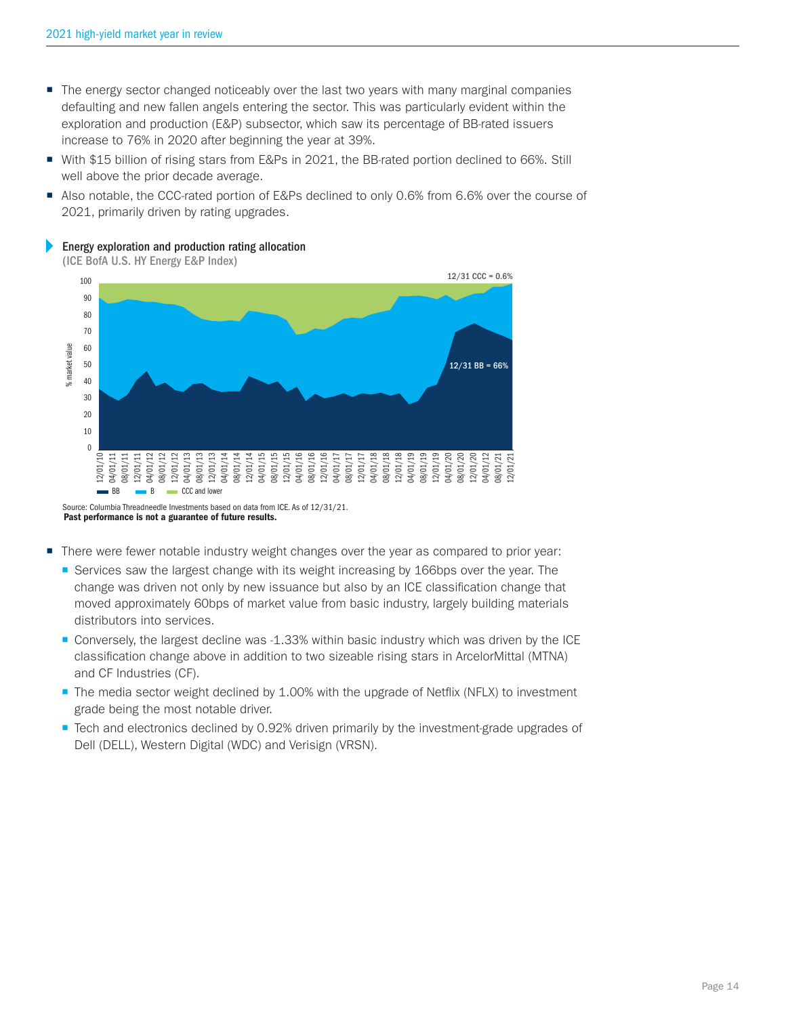- The energy sector changed noticeably over the last two years with many marginal companies defaulting and new fallen angels entering the sector. This was particularly evident within the exploration and production (E&P) subsector, which saw its percentage of BB-rated issuers increase to 76% in 2020 after beginning the year at 39%.
- With \$15 billion of rising stars from E&Ps in 2021, the BB-rated portion declined to 66%. Still well above the prior decade average.
- Also notable, the CCC-rated portion of E&Ps declined to only 0.6% from 6.6% over the course of 2021, primarily driven by rating upgrades.

Energy exploration and production rating allocation

(ICE BofA U.S. HY Energy E&P Index)



- There were fewer notable industry weight changes over the year as compared to prior year:
	- Services saw the largest change with its weight increasing by 166bps over the year. The change was driven not only by new issuance but also by an ICE classification change that moved approximately 60bps of market value from basic industry, largely building materials distributors into services.
	- **Conversely, the largest decline was -1.33% within basic industry which was driven by the ICE** classification change above in addition to two sizeable rising stars in ArcelorMittal (MTNA) and CF Industries (CF).
	- The media sector weight declined by 1.00% with the upgrade of Netflix (NFLX) to investment grade being the most notable driver.
	- **Tech and electronics declined by 0.92% driven primarily by the investment-grade upgrades of** Dell (DELL), Western Digital (WDC) and Verisign (VRSN).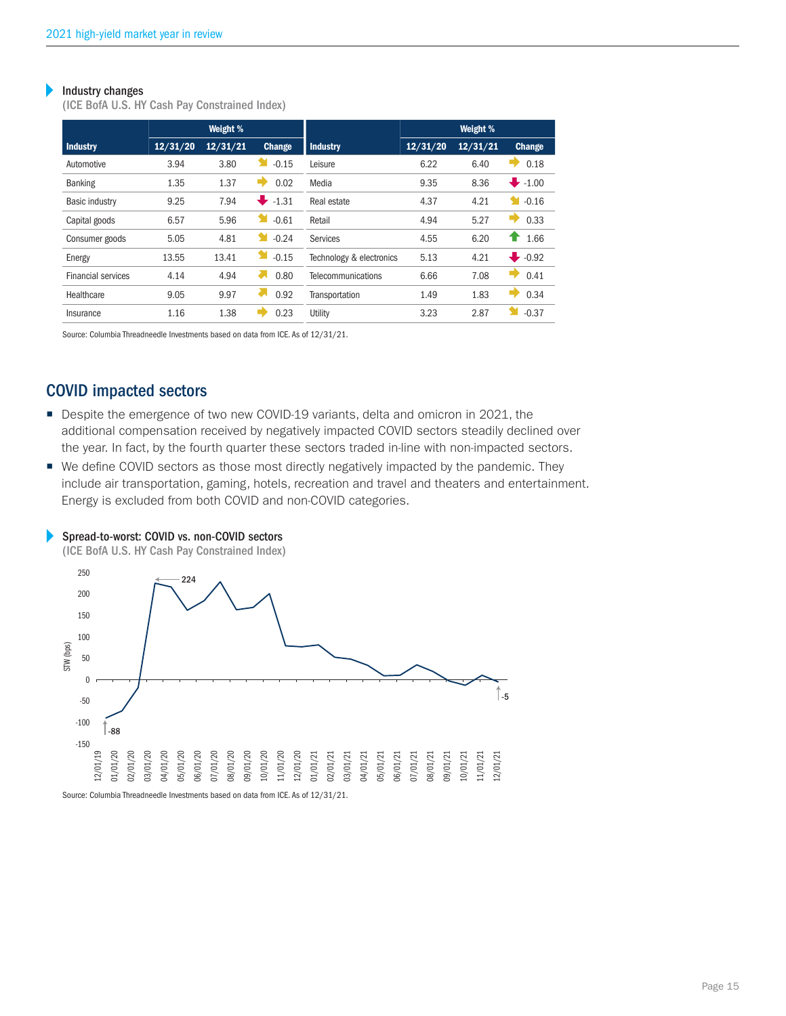#### Industry changes Þ

(ICE BofA U.S. HY Cash Pay Constrained Index)

|                           | Weight % |          |              | Weight %                 |          |          |               |
|---------------------------|----------|----------|--------------|--------------------------|----------|----------|---------------|
| <b>Industry</b>           | 12/31/20 | 12/31/21 | Change       | <b>Industry</b>          | 12/31/20 | 12/31/21 | <b>Change</b> |
| Automotive                | 3.94     | 3.80     | $-0.15$      | Leisure                  | 6.22     | 6.40     | 0.18          |
| <b>Banking</b>            | 1.35     | 1.37     | ➡<br>0.02    | Media                    | 9.35     | 8.36     | $-1.00$       |
| <b>Basic industry</b>     | 9.25     | 7.94     | ₩<br>$-1.31$ | Real estate              | 4.37     | 4.21     | $-0.16$<br>М  |
| Capital goods             | 6.57     | 5.96     | ¥<br>$-0.61$ | Retail                   | 4.94     | 5.27     | 0.33          |
| Consumer goods            | 5.05     | 4.81     | Y<br>$-0.24$ | Services                 | 4.55     | 6.20     | 1.66<br>Ŧ     |
| Energy                    | 13.55    | 13.41    | $-0.15$      | Technology & electronics | 5.13     | 4.21     | $-0.92$       |
| <b>Financial services</b> | 4.14     | 4.94     | ᇱ<br>0.80    | Telecommunications       | 6.66     | 7.08     | ŋ<br>0.41     |
| Healthcare                | 9.05     | 9.97     | г.<br>0.92   | Transportation           | 1.49     | 1.83     | ۰,<br>0.34    |
| Insurance                 | 1.16     | 1.38     | 0.23         | Utility                  | 3.23     | 2.87     | $-0.37$       |

Source: Columbia Threadneedle Investments based on data from ICE. As of 12/31/21.

# COVID impacted sectors

- Despite the emergence of two new COVID-19 variants, delta and omicron in 2021, the additional compensation received by negatively impacted COVID sectors steadily declined over the year. In fact, by the fourth quarter these sectors traded in-line with non-impacted sectors.
- We define COVID sectors as those most directly negatively impacted by the pandemic. They include air transportation, gaming, hotels, recreation and travel and theaters and entertainment. Energy is excluded from both COVID and non-COVID categories.



#### Spread-to-worst: COVID vs. non-COVID sectors Þ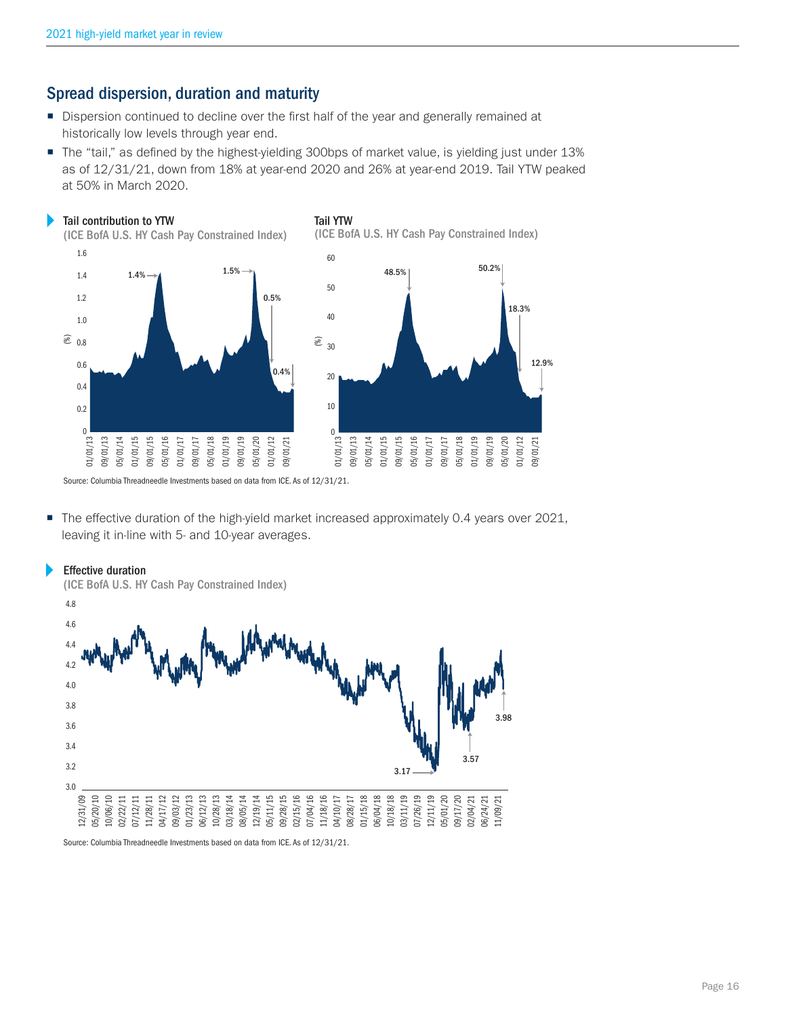Þ

# Spread dispersion, duration and maturity

- Dispersion continued to decline over the first half of the year and generally remained at historically low levels through year end.
- The "tail," as defined by the highest-yielding 300bps of market value, is yielding just under 13% as of 12/31/21, down from 18% at year-end 2020 and 26% at year-end 2019. Tail YTW peaked at 50% in March 2020.



Source: Columbia Threadneedle Investments based on data from ICE. As of 12/31/21.

■ The effective duration of the high-yield market increased approximately 0.4 years over 2021, leaving it in-line with 5- and 10-year averages.



Source: Columbia Threadneedle Investments based on data from ICE. As of 12/31/21.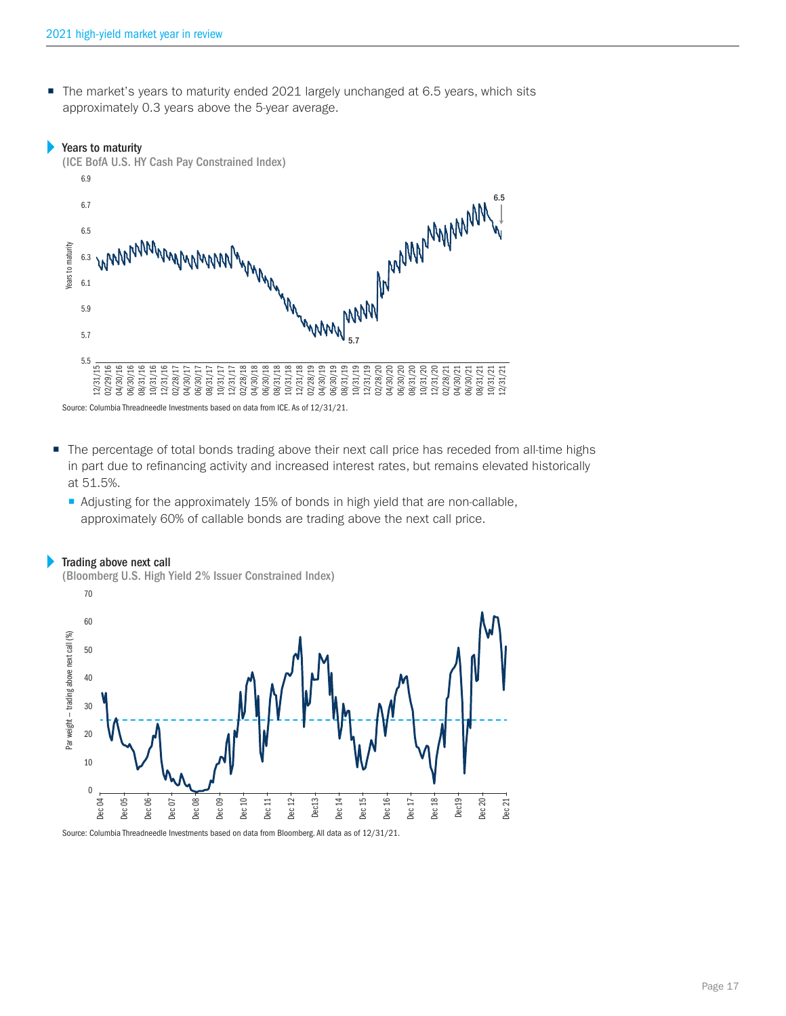The market's years to maturity ended 2021 largely unchanged at 6.5 years, which sits approximately 0.3 years above the 5-year average.

#### Þ Years to maturity

Þ



Source: Columbia Threadneedle Investments based on data from ICE. As of 12/31/21.

- The percentage of total bonds trading above their next call price has receded from all-time highs in part due to refinancing activity and increased interest rates, but remains elevated historically at 51.5%.
	- Adjusting for the approximately 15% of bonds in high yield that are non-callable, approximately 60% of callable bonds are trading above the next call price.



Source: Columbia Threadneedle Investments based on data from Bloomberg. All data as of 12/31/21.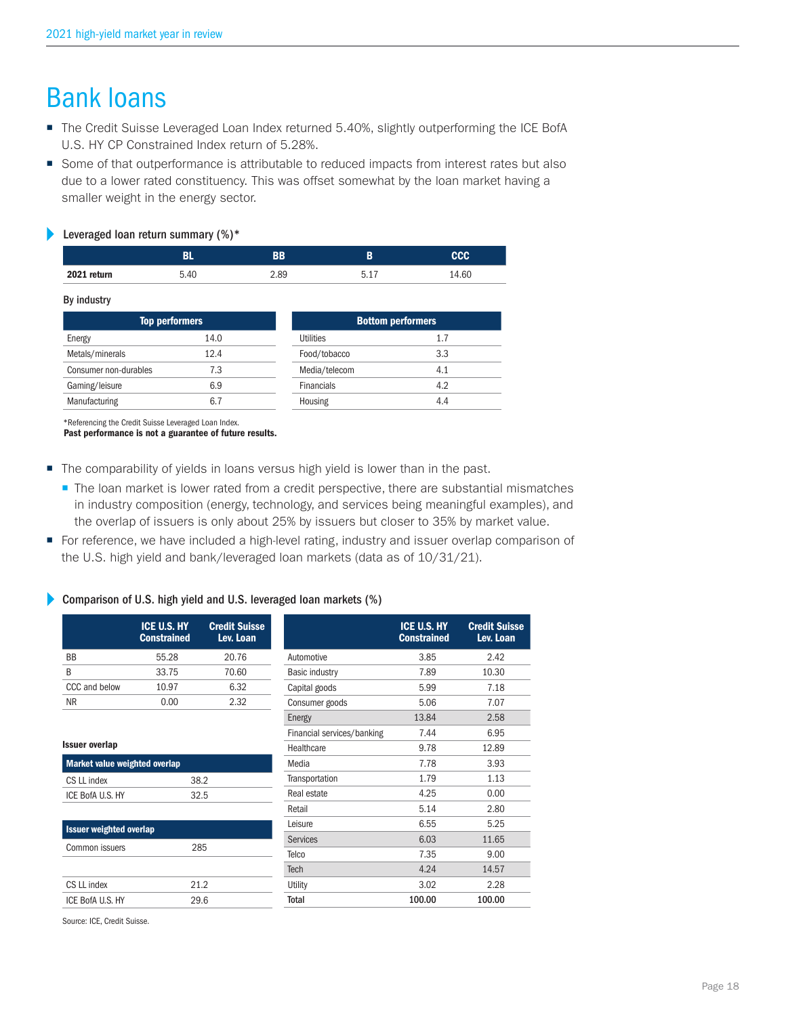# Bank loans

- The Credit Suisse Leveraged Loan Index returned 5.40%, slightly outperforming the ICE BofA U.S. HY CP Constrained Index return of 5.28%.
- Some of that outperformance is attributable to reduced impacts from interest rates but also due to a lower rated constituency. This was offset somewhat by the loan market having a smaller weight in the energy sector.

#### Þ Leveraged loan return summary (%)\*

| __          | _______ |      |            |            |
|-------------|---------|------|------------|------------|
|             |         | ВB   |            | <b>CCC</b> |
| 2021 return | 5.40    | 2.89 | <b>Б</b> 1 | 14.60      |
|             |         |      |            |            |

#### By industry

| <b>Top performers</b> |      |                   | <b>Bottom performers</b> |  |  |
|-----------------------|------|-------------------|--------------------------|--|--|
| Energy                | 14.0 | <b>Utilities</b>  | 1.7                      |  |  |
| Metals/minerals       | 12.4 | Food/tobacco      | 3.3                      |  |  |
| Consumer non-durables | 7.3  | Media/telecom     | 4.1                      |  |  |
| Gaming/leisure        | 6.9  | <b>Financials</b> | 4.2                      |  |  |
| Manufacturing         | 6.7  | Housing           | 4.4                      |  |  |

\*Referencing the Credit Suisse Leveraged Loan Index.

Past performance is not a guarantee of future results.

- The comparability of yields in loans versus high yield is lower than in the past.
	- The loan market is lower rated from a credit perspective, there are substantial mismatches in industry composition (energy, technology, and services being meaningful examples), and the overlap of issuers is only about 25% by issuers but closer to 35% by market value.
- For reference, we have included a high-level rating, industry and issuer overlap comparison of the U.S. high yield and bank/leveraged loan markets (data as of 10/31/21).

#### Þ Comparison of U.S. high yield and U.S. leveraged loan markets (%)

|                                | ICE U.S. HY<br><b>Constrained</b> | <b>Credit Suisse</b><br>Lev. Loan |                            | <b>ICE U.S. HY</b><br><b>Constrained</b> | <b>Credit Suisse</b><br>Lev. Loan |
|--------------------------------|-----------------------------------|-----------------------------------|----------------------------|------------------------------------------|-----------------------------------|
| <b>BB</b>                      | 55.28                             | 20.76                             | Automotive                 | 3.85                                     | 2.42                              |
| B                              | 33.75                             | 70.60                             | <b>Basic industry</b>      | 7.89                                     | 10.30                             |
| CCC and below                  | 10.97                             | 6.32                              | Capital goods              | 5.99                                     | 7.18                              |
| <b>NR</b>                      | 0.00                              | 2.32                              | Consumer goods             | 5.06                                     | 7.07                              |
|                                |                                   |                                   | Energy                     | 13.84                                    | 2.58                              |
|                                |                                   |                                   | Financial services/banking | 7.44                                     | 6.95                              |
| <b>Issuer overlap</b>          |                                   |                                   | Healthcare                 | 9.78                                     | 12.89                             |
| Market value weighted overlap  |                                   |                                   | Media                      | 7.78                                     | 3.93                              |
| CS LL index                    | 38.2                              |                                   | Transportation             | 1.79                                     | 1.13                              |
| ICE BofA U.S. HY               | 32.5                              |                                   | Real estate                | 4.25                                     | 0.00                              |
|                                |                                   |                                   | Retail                     | 5.14                                     | 2.80                              |
| <b>Issuer weighted overlap</b> |                                   |                                   | Leisure                    | 6.55                                     | 5.25                              |
|                                |                                   |                                   | <b>Services</b>            | 6.03                                     | 11.65                             |
| Common issuers                 | 285                               |                                   | Telco                      | 7.35                                     | 9.00                              |
|                                |                                   |                                   | <b>Tech</b>                | 4.24                                     | 14.57                             |
| CS LL index                    | 21.2                              |                                   | Utility                    | 3.02                                     | 2.28                              |
| ICE BofA U.S. HY               | 29.6                              |                                   | Total                      | 100.00                                   | 100.00                            |

Source: ICE, Credit Suisse.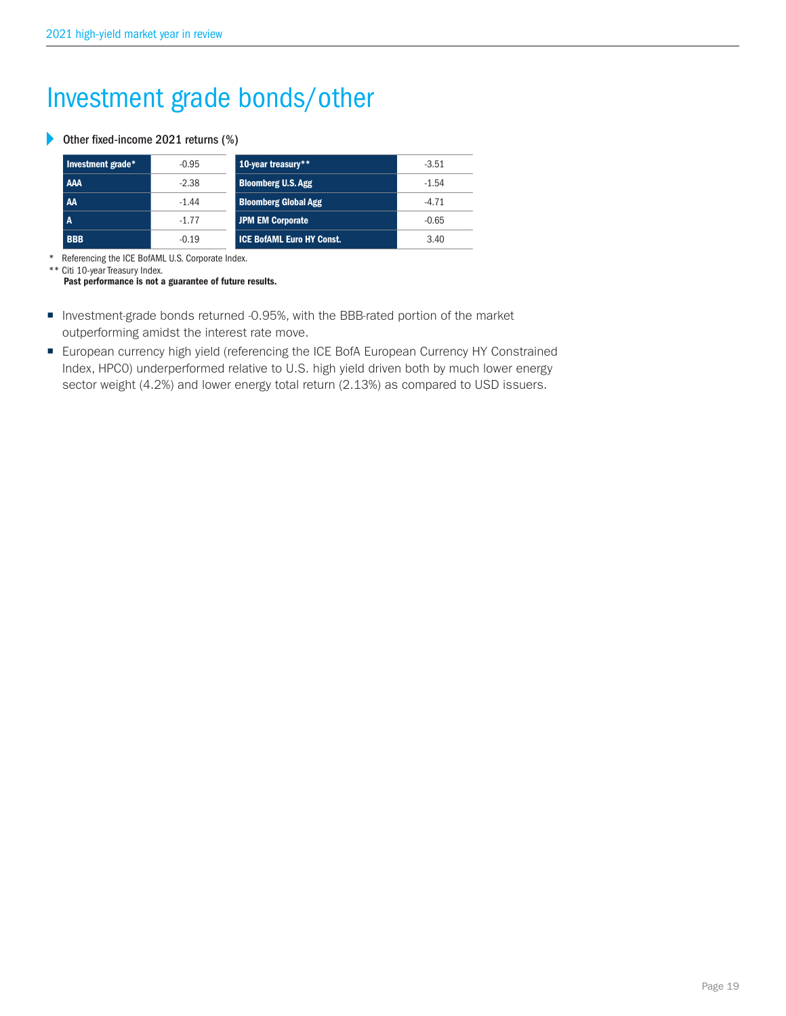# Investment grade bonds/other

## Other fixed-income 2021 returns (%)

| Investment grade* | $-0.95$ | 10-year treasury**               | $-3.51$ |
|-------------------|---------|----------------------------------|---------|
| <b>AAA</b>        | $-2.38$ | <b>Bloomberg U.S. Agg</b>        | $-1.54$ |
| AA                | $-1.44$ | <b>Bloomberg Global Agg</b>      | $-4.71$ |
| A                 | $-1.77$ | JPM EM Corporate                 | $-0.65$ |
| <b>BBB</b>        | $-0.19$ | <b>ICE BofAML Euro HY Const.</b> | 3.40    |

\* Referencing the ICE BofAML U.S. Corporate Index.

\*\* Citi 10-year Treasury Index. Past performance is not a guarantee of future results.

- Investment-grade bonds returned -0.95%, with the BBB-rated portion of the market outperforming amidst the interest rate move.
- European currency high yield (referencing the ICE BofA European Currency HY Constrained Index, HPC0) underperformed relative to U.S. high yield driven both by much lower energy sector weight (4.2%) and lower energy total return (2.13%) as compared to USD issuers.